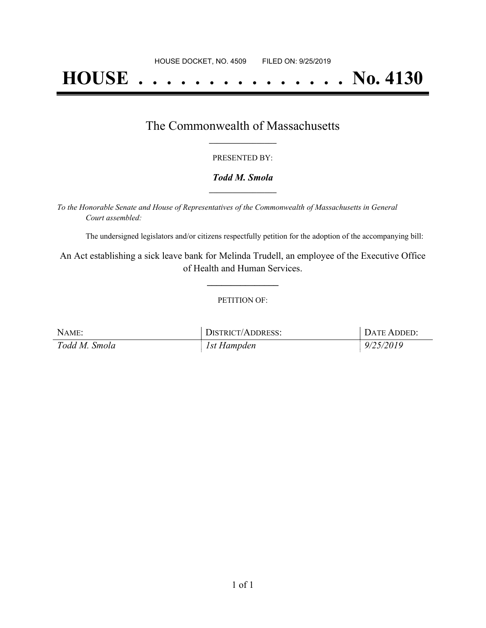# **HOUSE . . . . . . . . . . . . . . . No. 4130**

### The Commonwealth of Massachusetts **\_\_\_\_\_\_\_\_\_\_\_\_\_\_\_\_\_**

#### PRESENTED BY:

#### *Todd M. Smola* **\_\_\_\_\_\_\_\_\_\_\_\_\_\_\_\_\_**

*To the Honorable Senate and House of Representatives of the Commonwealth of Massachusetts in General Court assembled:*

The undersigned legislators and/or citizens respectfully petition for the adoption of the accompanying bill:

An Act establishing a sick leave bank for Melinda Trudell, an employee of the Executive Office of Health and Human Services.

**\_\_\_\_\_\_\_\_\_\_\_\_\_\_\_**

#### PETITION OF:

| NAME:         | DISTRICT/ADDRESS: | DATE ADDED: |
|---------------|-------------------|-------------|
| Todd M. Smola | 1st Hampden       | 9/25/2019   |